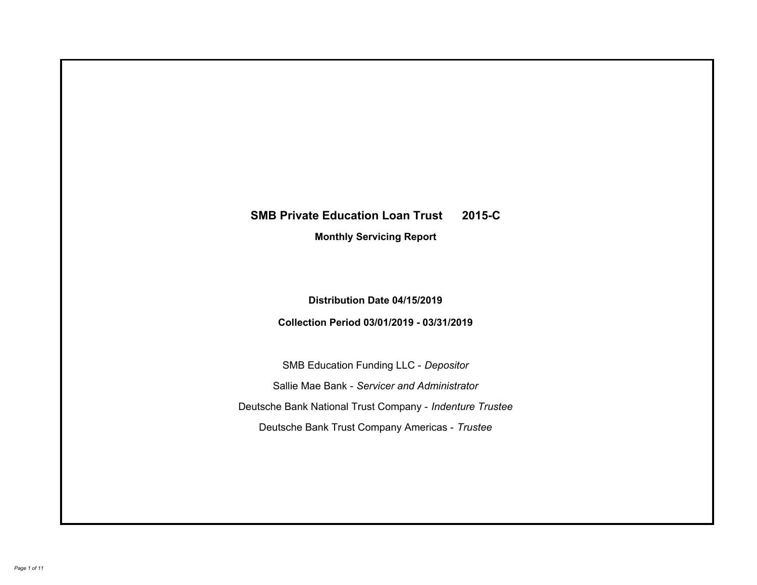# **SMB Private Education Loan Trust 2015-C Monthly Servicing Report**

# **Distribution Date 04/15/2019**

# **Collection Period 03/01/2019 - 03/31/2019**

SMB Education Funding LLC - *Depositor* Sallie Mae Bank - *Servicer and Administrator* Deutsche Bank National Trust Company - *Indenture Trustee* Deutsche Bank Trust Company Americas - *Trustee*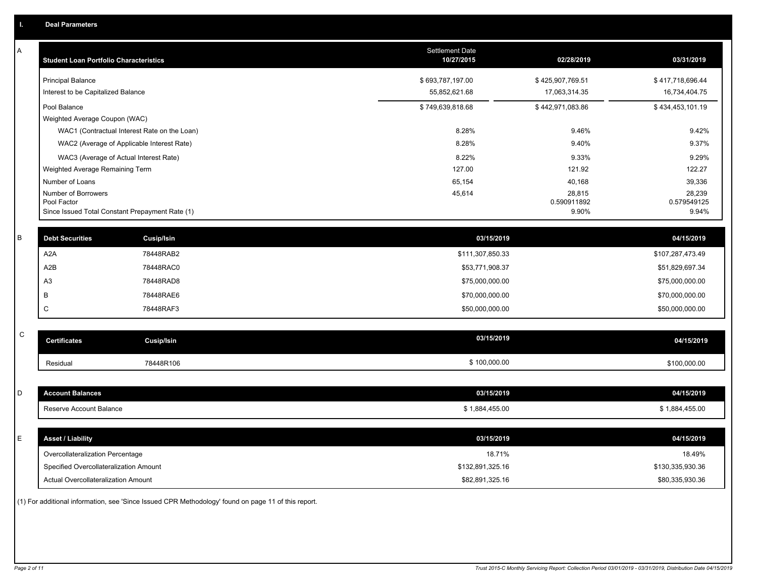| A           | <b>Student Loan Portfolio Characteristics</b>                  |                                              | Settlement Date<br>10/27/2015 | 02/28/2019           | 03/31/2019           |
|-------------|----------------------------------------------------------------|----------------------------------------------|-------------------------------|----------------------|----------------------|
|             | <b>Principal Balance</b>                                       |                                              | \$693,787,197.00              | \$425,907,769.51     | \$417,718,696.44     |
|             | Interest to be Capitalized Balance                             |                                              | 55,852,621.68                 | 17,063,314.35        | 16,734,404.75        |
|             | Pool Balance                                                   |                                              | \$749,639,818.68              | \$442,971,083.86     | \$434,453,101.19     |
|             | Weighted Average Coupon (WAC)                                  |                                              |                               |                      |                      |
|             |                                                                | WAC1 (Contractual Interest Rate on the Loan) | 8.28%                         | 9.46%                | 9.42%                |
|             |                                                                | WAC2 (Average of Applicable Interest Rate)   | 8.28%                         | 9.40%                | 9.37%                |
|             | WAC3 (Average of Actual Interest Rate)                         |                                              | 8.22%                         | 9.33%                | 9.29%                |
|             | Weighted Average Remaining Term                                |                                              | 127.00                        | 121.92               | 122.27               |
|             | Number of Loans                                                |                                              | 65,154                        | 40,168               | 39,336               |
|             | Number of Borrowers                                            |                                              | 45,614                        | 28,815               | 28,239               |
|             | Pool Factor<br>Since Issued Total Constant Prepayment Rate (1) |                                              |                               | 0.590911892<br>9.90% | 0.579549125<br>9.94% |
|             |                                                                |                                              |                               |                      |                      |
| $\sf B$     | <b>Debt Securities</b>                                         | <b>Cusip/Isin</b>                            | 03/15/2019                    |                      | 04/15/2019           |
|             | A <sub>2</sub> A                                               | 78448RAB2                                    | \$111,307,850.33              |                      | \$107,287,473.49     |
|             | A <sub>2</sub> B                                               | 78448RAC0                                    | \$53,771,908.37               |                      | \$51,829,697.34      |
|             | A <sub>3</sub>                                                 | 78448RAD8                                    | \$75,000,000.00               |                      | \$75,000,000.00      |
|             | B                                                              | 78448RAE6                                    | \$70,000,000.00               |                      | \$70,000,000.00      |
|             | C                                                              | 78448RAF3                                    | \$50,000,000.00               |                      | \$50,000,000.00      |
|             |                                                                |                                              |                               |                      |                      |
| $\mathsf C$ | <b>Certificates</b>                                            | Cusip/Isin                                   | 03/15/2019                    |                      | 04/15/2019           |
|             | Residual                                                       | 78448R106                                    | \$100,000.00                  |                      | \$100,000.00         |
|             |                                                                |                                              |                               |                      |                      |
| D           | <b>Account Balances</b>                                        |                                              | 03/15/2019                    |                      | 04/15/2019           |
|             | Reserve Account Balance                                        |                                              | \$1,884,455.00                |                      | \$1,884,455.00       |
|             |                                                                |                                              |                               |                      |                      |
| E           | <b>Asset / Liability</b>                                       |                                              | 03/15/2019                    |                      | 04/15/2019           |
|             | Overcollateralization Percentage                               |                                              | 18.71%                        |                      | 18.49%               |
|             | Specified Overcollateralization Amount                         |                                              | \$132,891,325.16              |                      | \$130,335,930.36     |
|             | Actual Overcollateralization Amount                            |                                              | \$82,891,325.16               |                      | \$80,335,930.36      |
|             |                                                                |                                              |                               |                      |                      |

(1) For additional information, see 'Since Issued CPR Methodology' found on page 11 of this report.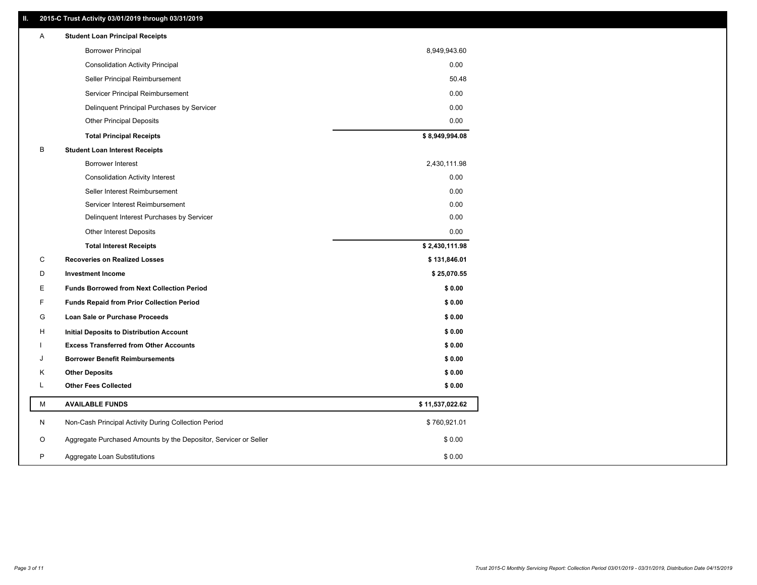### **II. 2015-C Trust Activity 03/01/2019 through 03/31/2019**

| <b>Borrower Principal</b><br>8,949,943.60                                       |  |
|---------------------------------------------------------------------------------|--|
| 0.00<br><b>Consolidation Activity Principal</b>                                 |  |
| 50.48<br>Seller Principal Reimbursement                                         |  |
| 0.00<br>Servicer Principal Reimbursement                                        |  |
| 0.00<br>Delinquent Principal Purchases by Servicer                              |  |
| 0.00<br><b>Other Principal Deposits</b>                                         |  |
| \$8,949,994.08<br><b>Total Principal Receipts</b>                               |  |
| В<br><b>Student Loan Interest Receipts</b>                                      |  |
| 2,430,111.98<br><b>Borrower Interest</b>                                        |  |
| 0.00<br><b>Consolidation Activity Interest</b>                                  |  |
| Seller Interest Reimbursement<br>0.00                                           |  |
| Servicer Interest Reimbursement<br>0.00                                         |  |
| 0.00<br>Delinquent Interest Purchases by Servicer                               |  |
| 0.00<br>Other Interest Deposits                                                 |  |
| \$2,430,111.98<br><b>Total Interest Receipts</b>                                |  |
| С<br><b>Recoveries on Realized Losses</b><br>\$131,846.01                       |  |
| <b>Investment Income</b><br>\$25,070.55<br>D                                    |  |
| Е<br><b>Funds Borrowed from Next Collection Period</b><br>\$0.00                |  |
| F.<br>\$0.00<br><b>Funds Repaid from Prior Collection Period</b>                |  |
| G<br>\$0.00<br>Loan Sale or Purchase Proceeds                                   |  |
| \$0.00<br>н<br>Initial Deposits to Distribution Account                         |  |
| <b>Excess Transferred from Other Accounts</b><br>\$0.00                         |  |
| \$0.00<br><b>Borrower Benefit Reimbursements</b><br>J                           |  |
| \$0.00<br>Κ<br><b>Other Deposits</b>                                            |  |
| L<br><b>Other Fees Collected</b><br>\$0.00                                      |  |
| М<br><b>AVAILABLE FUNDS</b><br>\$11,537,022.62                                  |  |
| N<br>Non-Cash Principal Activity During Collection Period<br>\$760,921.01       |  |
| O<br>Aggregate Purchased Amounts by the Depositor, Servicer or Seller<br>\$0.00 |  |
| P<br>\$0.00<br>Aggregate Loan Substitutions                                     |  |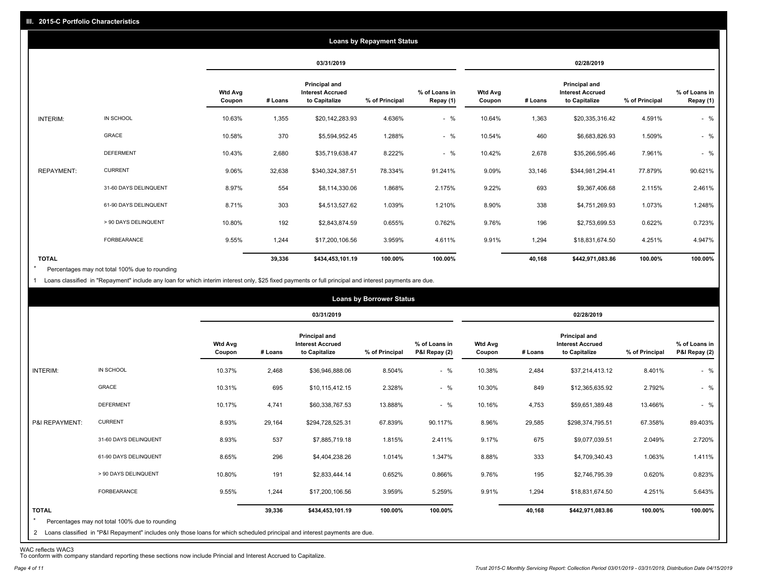|                   |                       |                          |         |                                                           | <b>Loans by Repayment Status</b> |                            |                          |         |                                                                  |                |                            |
|-------------------|-----------------------|--------------------------|---------|-----------------------------------------------------------|----------------------------------|----------------------------|--------------------------|---------|------------------------------------------------------------------|----------------|----------------------------|
|                   |                       |                          |         | 03/31/2019                                                |                                  |                            | 02/28/2019               |         |                                                                  |                |                            |
|                   |                       | <b>Wtd Avg</b><br>Coupon | # Loans | Principal and<br><b>Interest Accrued</b><br>to Capitalize | % of Principal                   | % of Loans in<br>Repay (1) | <b>Wtd Avg</b><br>Coupon | # Loans | <b>Principal and</b><br><b>Interest Accrued</b><br>to Capitalize | % of Principal | % of Loans in<br>Repay (1) |
| INTERIM:          | IN SCHOOL             | 10.63%                   | 1,355   | \$20,142,283.93                                           | 4.636%                           | $-$ %                      | 10.64%                   | 1,363   | \$20,335,316.42                                                  | 4.591%         | $-$ %                      |
|                   | GRACE                 | 10.58%                   | 370     | \$5,594,952.45                                            | 1.288%                           | $-$ %                      | 10.54%                   | 460     | \$6,683,826.93                                                   | 1.509%         | $-$ %                      |
|                   | <b>DEFERMENT</b>      | 10.43%                   | 2,680   | \$35,719,638.47                                           | 8.222%                           | $-$ %                      | 10.42%                   | 2,678   | \$35,266,595.46                                                  | 7.961%         | $-$ %                      |
| <b>REPAYMENT:</b> | <b>CURRENT</b>        | 9.06%                    | 32,638  | \$340,324,387.51                                          | 78.334%                          | 91.241%                    | 9.09%                    | 33,146  | \$344,981,294.41                                                 | 77.879%        | 90.621%                    |
|                   | 31-60 DAYS DELINQUENT | 8.97%                    | 554     | \$8,114,330.06                                            | 1.868%                           | 2.175%                     | 9.22%                    | 693     | \$9,367,406.68                                                   | 2.115%         | 2.461%                     |
|                   | 61-90 DAYS DELINQUENT | 8.71%                    | 303     | \$4,513,527.62                                            | 1.039%                           | 1.210%                     | 8.90%                    | 338     | \$4,751,269.93                                                   | 1.073%         | 1.248%                     |
|                   | > 90 DAYS DELINQUENT  | 10.80%                   | 192     | \$2,843,874.59                                            | 0.655%                           | 0.762%                     | 9.76%                    | 196     | \$2,753,699.53                                                   | 0.622%         | 0.723%                     |
|                   | <b>FORBEARANCE</b>    | 9.55%                    | 1,244   | \$17,200,106.56                                           | 3.959%                           | 4.611%                     | 9.91%                    | 1,294   | \$18,831,674.50                                                  | 4.251%         | 4.947%                     |
| <b>TOTAL</b>      |                       |                          | 39,336  | \$434,453,101.19                                          | 100.00%                          | 100.00%                    |                          | 40,168  | \$442,971,083.86                                                 | 100.00%        | 100.00%                    |

Percentages may not total 100% due to rounding  $\star$ 

1 Loans classified in "Repayment" include any loan for which interim interest only, \$25 fixed payments or full principal and interest payments are due.

|                         |                                                                                                                                                                                |                          |         |                                                                  | <b>Loans by Borrower Status</b> |                                |                          |         |                                                                  |                |                                |
|-------------------------|--------------------------------------------------------------------------------------------------------------------------------------------------------------------------------|--------------------------|---------|------------------------------------------------------------------|---------------------------------|--------------------------------|--------------------------|---------|------------------------------------------------------------------|----------------|--------------------------------|
|                         |                                                                                                                                                                                |                          |         | 03/31/2019                                                       |                                 |                                |                          |         | 02/28/2019                                                       |                |                                |
|                         |                                                                                                                                                                                | <b>Wtd Avg</b><br>Coupon | # Loans | <b>Principal and</b><br><b>Interest Accrued</b><br>to Capitalize | % of Principal                  | % of Loans in<br>P&I Repay (2) | <b>Wtd Avg</b><br>Coupon | # Loans | <b>Principal and</b><br><b>Interest Accrued</b><br>to Capitalize | % of Principal | % of Loans in<br>P&I Repay (2) |
| INTERIM:                | IN SCHOOL                                                                                                                                                                      | 10.37%                   | 2,468   | \$36,946,888.06                                                  | 8.504%                          | $-$ %                          | 10.38%                   | 2,484   | \$37,214,413.12                                                  | 8.401%         | $-$ %                          |
|                         | GRACE                                                                                                                                                                          | 10.31%                   | 695     | \$10,115,412.15                                                  | 2.328%                          | $-$ %                          | 10.30%                   | 849     | \$12,365,635.92                                                  | 2.792%         | $-$ %                          |
|                         | <b>DEFERMENT</b>                                                                                                                                                               | 10.17%                   | 4,741   | \$60,338,767.53                                                  | 13.888%                         | $-$ %                          | 10.16%                   | 4,753   | \$59,651,389.48                                                  | 13.466%        | $-$ %                          |
| P&I REPAYMENT:          | <b>CURRENT</b>                                                                                                                                                                 | 8.93%                    | 29,164  | \$294,728,525.31                                                 | 67.839%                         | 90.117%                        | 8.96%                    | 29,585  | \$298,374,795.51                                                 | 67.358%        | 89.403%                        |
|                         | 31-60 DAYS DELINQUENT                                                                                                                                                          | 8.93%                    | 537     | \$7,885,719.18                                                   | 1.815%                          | 2.411%                         | 9.17%                    | 675     | \$9,077,039.51                                                   | 2.049%         | 2.720%                         |
|                         | 61-90 DAYS DELINQUENT                                                                                                                                                          | 8.65%                    | 296     | \$4,404,238.26                                                   | 1.014%                          | 1.347%                         | 8.88%                    | 333     | \$4,709,340.43                                                   | 1.063%         | 1.411%                         |
|                         | > 90 DAYS DELINQUENT                                                                                                                                                           | 10.80%                   | 191     | \$2,833,444.14                                                   | 0.652%                          | 0.866%                         | 9.76%                    | 195     | \$2,746,795.39                                                   | 0.620%         | 0.823%                         |
|                         | FORBEARANCE                                                                                                                                                                    | 9.55%                    | 1,244   | \$17,200,106.56                                                  | 3.959%                          | 5.259%                         | 9.91%                    | 1,294   | \$18,831,674.50                                                  | 4.251%         | 5.643%                         |
| <b>TOTAL</b><br>$\star$ | Percentages may not total 100% due to rounding<br>2 Loans classified in "P&I Repayment" includes only those loans for which scheduled principal and interest payments are due. |                          | 39,336  | \$434,453,101.19                                                 | 100.00%                         | 100.00%                        |                          | 40,168  | \$442,971,083.86                                                 | 100.00%        | 100.00%                        |

WAC reflects WAC3 To conform with company standard reporting these sections now include Princial and Interest Accrued to Capitalize.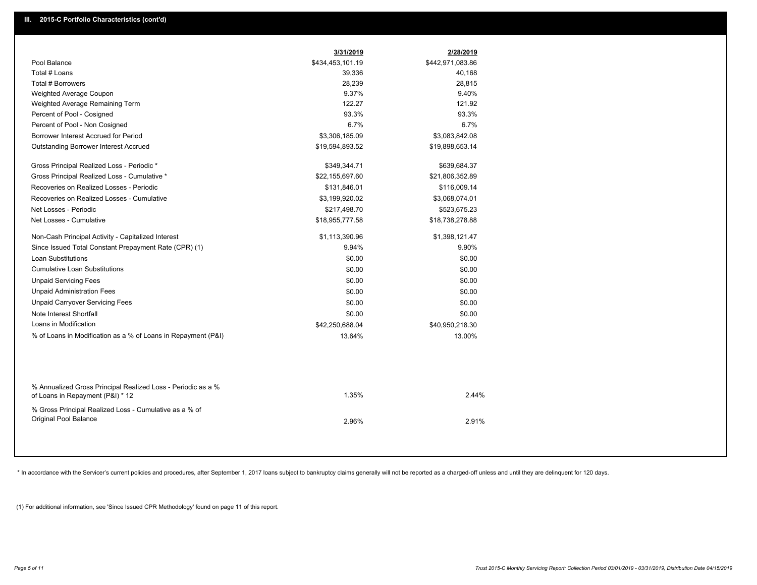| Pool Balance<br>\$434,453,101.19<br>\$442,971,083.86<br>Total # Loans<br>39,336<br>40,168<br>Total # Borrowers<br>28,239<br>28,815<br>9.37%<br>9.40%<br>Weighted Average Coupon<br>122.27<br>121.92<br>Weighted Average Remaining Term<br>93.3%<br>Percent of Pool - Cosigned<br>93.3%<br>6.7%<br>6.7%<br>Percent of Pool - Non Cosigned<br>Borrower Interest Accrued for Period<br>\$3,306,185.09<br>\$3,083,842.08<br><b>Outstanding Borrower Interest Accrued</b><br>\$19,594,893.52<br>\$19,898,653.14<br>Gross Principal Realized Loss - Periodic *<br>\$349,344.71<br>\$639,684.37<br>Gross Principal Realized Loss - Cumulative *<br>\$22,155,697.60<br>\$21,806,352.89<br>Recoveries on Realized Losses - Periodic<br>\$131,846.01<br>\$116,009.14<br>Recoveries on Realized Losses - Cumulative<br>\$3,199,920.02<br>\$3,068,074.01<br>Net Losses - Periodic<br>\$217,498.70<br>\$523,675.23<br>Net Losses - Cumulative<br>\$18,955,777.58<br>\$18,738,278.88<br>Non-Cash Principal Activity - Capitalized Interest<br>\$1,113,390.96<br>\$1,398,121.47<br>Since Issued Total Constant Prepayment Rate (CPR) (1)<br>9.94%<br>9.90%<br><b>Loan Substitutions</b><br>\$0.00<br>\$0.00<br><b>Cumulative Loan Substitutions</b><br>\$0.00<br>\$0.00<br><b>Unpaid Servicing Fees</b><br>\$0.00<br>\$0.00<br><b>Unpaid Administration Fees</b><br>\$0.00<br>\$0.00<br><b>Unpaid Carryover Servicing Fees</b><br>\$0.00<br>\$0.00<br>Note Interest Shortfall<br>\$0.00<br>\$0.00<br>Loans in Modification<br>\$42,250,688.04<br>\$40,950,218.30<br>% of Loans in Modification as a % of Loans in Repayment (P&I)<br>13.64%<br>13.00%<br>% Annualized Gross Principal Realized Loss - Periodic as a %<br>1.35%<br>2.44%<br>of Loans in Repayment (P&I) * 12<br>% Gross Principal Realized Loss - Cumulative as a % of<br>Original Pool Balance<br>2.91%<br>2.96% | 3/31/2019 | 2/28/2019 |  |
|-------------------------------------------------------------------------------------------------------------------------------------------------------------------------------------------------------------------------------------------------------------------------------------------------------------------------------------------------------------------------------------------------------------------------------------------------------------------------------------------------------------------------------------------------------------------------------------------------------------------------------------------------------------------------------------------------------------------------------------------------------------------------------------------------------------------------------------------------------------------------------------------------------------------------------------------------------------------------------------------------------------------------------------------------------------------------------------------------------------------------------------------------------------------------------------------------------------------------------------------------------------------------------------------------------------------------------------------------------------------------------------------------------------------------------------------------------------------------------------------------------------------------------------------------------------------------------------------------------------------------------------------------------------------------------------------------------------------------------------------------------------------------------------------------------------------------------------------------------------------|-----------|-----------|--|
|                                                                                                                                                                                                                                                                                                                                                                                                                                                                                                                                                                                                                                                                                                                                                                                                                                                                                                                                                                                                                                                                                                                                                                                                                                                                                                                                                                                                                                                                                                                                                                                                                                                                                                                                                                                                                                                                   |           |           |  |
|                                                                                                                                                                                                                                                                                                                                                                                                                                                                                                                                                                                                                                                                                                                                                                                                                                                                                                                                                                                                                                                                                                                                                                                                                                                                                                                                                                                                                                                                                                                                                                                                                                                                                                                                                                                                                                                                   |           |           |  |
|                                                                                                                                                                                                                                                                                                                                                                                                                                                                                                                                                                                                                                                                                                                                                                                                                                                                                                                                                                                                                                                                                                                                                                                                                                                                                                                                                                                                                                                                                                                                                                                                                                                                                                                                                                                                                                                                   |           |           |  |
|                                                                                                                                                                                                                                                                                                                                                                                                                                                                                                                                                                                                                                                                                                                                                                                                                                                                                                                                                                                                                                                                                                                                                                                                                                                                                                                                                                                                                                                                                                                                                                                                                                                                                                                                                                                                                                                                   |           |           |  |
|                                                                                                                                                                                                                                                                                                                                                                                                                                                                                                                                                                                                                                                                                                                                                                                                                                                                                                                                                                                                                                                                                                                                                                                                                                                                                                                                                                                                                                                                                                                                                                                                                                                                                                                                                                                                                                                                   |           |           |  |
|                                                                                                                                                                                                                                                                                                                                                                                                                                                                                                                                                                                                                                                                                                                                                                                                                                                                                                                                                                                                                                                                                                                                                                                                                                                                                                                                                                                                                                                                                                                                                                                                                                                                                                                                                                                                                                                                   |           |           |  |
|                                                                                                                                                                                                                                                                                                                                                                                                                                                                                                                                                                                                                                                                                                                                                                                                                                                                                                                                                                                                                                                                                                                                                                                                                                                                                                                                                                                                                                                                                                                                                                                                                                                                                                                                                                                                                                                                   |           |           |  |
|                                                                                                                                                                                                                                                                                                                                                                                                                                                                                                                                                                                                                                                                                                                                                                                                                                                                                                                                                                                                                                                                                                                                                                                                                                                                                                                                                                                                                                                                                                                                                                                                                                                                                                                                                                                                                                                                   |           |           |  |
|                                                                                                                                                                                                                                                                                                                                                                                                                                                                                                                                                                                                                                                                                                                                                                                                                                                                                                                                                                                                                                                                                                                                                                                                                                                                                                                                                                                                                                                                                                                                                                                                                                                                                                                                                                                                                                                                   |           |           |  |
|                                                                                                                                                                                                                                                                                                                                                                                                                                                                                                                                                                                                                                                                                                                                                                                                                                                                                                                                                                                                                                                                                                                                                                                                                                                                                                                                                                                                                                                                                                                                                                                                                                                                                                                                                                                                                                                                   |           |           |  |
|                                                                                                                                                                                                                                                                                                                                                                                                                                                                                                                                                                                                                                                                                                                                                                                                                                                                                                                                                                                                                                                                                                                                                                                                                                                                                                                                                                                                                                                                                                                                                                                                                                                                                                                                                                                                                                                                   |           |           |  |
|                                                                                                                                                                                                                                                                                                                                                                                                                                                                                                                                                                                                                                                                                                                                                                                                                                                                                                                                                                                                                                                                                                                                                                                                                                                                                                                                                                                                                                                                                                                                                                                                                                                                                                                                                                                                                                                                   |           |           |  |
|                                                                                                                                                                                                                                                                                                                                                                                                                                                                                                                                                                                                                                                                                                                                                                                                                                                                                                                                                                                                                                                                                                                                                                                                                                                                                                                                                                                                                                                                                                                                                                                                                                                                                                                                                                                                                                                                   |           |           |  |
|                                                                                                                                                                                                                                                                                                                                                                                                                                                                                                                                                                                                                                                                                                                                                                                                                                                                                                                                                                                                                                                                                                                                                                                                                                                                                                                                                                                                                                                                                                                                                                                                                                                                                                                                                                                                                                                                   |           |           |  |
|                                                                                                                                                                                                                                                                                                                                                                                                                                                                                                                                                                                                                                                                                                                                                                                                                                                                                                                                                                                                                                                                                                                                                                                                                                                                                                                                                                                                                                                                                                                                                                                                                                                                                                                                                                                                                                                                   |           |           |  |
|                                                                                                                                                                                                                                                                                                                                                                                                                                                                                                                                                                                                                                                                                                                                                                                                                                                                                                                                                                                                                                                                                                                                                                                                                                                                                                                                                                                                                                                                                                                                                                                                                                                                                                                                                                                                                                                                   |           |           |  |
|                                                                                                                                                                                                                                                                                                                                                                                                                                                                                                                                                                                                                                                                                                                                                                                                                                                                                                                                                                                                                                                                                                                                                                                                                                                                                                                                                                                                                                                                                                                                                                                                                                                                                                                                                                                                                                                                   |           |           |  |
|                                                                                                                                                                                                                                                                                                                                                                                                                                                                                                                                                                                                                                                                                                                                                                                                                                                                                                                                                                                                                                                                                                                                                                                                                                                                                                                                                                                                                                                                                                                                                                                                                                                                                                                                                                                                                                                                   |           |           |  |
|                                                                                                                                                                                                                                                                                                                                                                                                                                                                                                                                                                                                                                                                                                                                                                                                                                                                                                                                                                                                                                                                                                                                                                                                                                                                                                                                                                                                                                                                                                                                                                                                                                                                                                                                                                                                                                                                   |           |           |  |
|                                                                                                                                                                                                                                                                                                                                                                                                                                                                                                                                                                                                                                                                                                                                                                                                                                                                                                                                                                                                                                                                                                                                                                                                                                                                                                                                                                                                                                                                                                                                                                                                                                                                                                                                                                                                                                                                   |           |           |  |
|                                                                                                                                                                                                                                                                                                                                                                                                                                                                                                                                                                                                                                                                                                                                                                                                                                                                                                                                                                                                                                                                                                                                                                                                                                                                                                                                                                                                                                                                                                                                                                                                                                                                                                                                                                                                                                                                   |           |           |  |
|                                                                                                                                                                                                                                                                                                                                                                                                                                                                                                                                                                                                                                                                                                                                                                                                                                                                                                                                                                                                                                                                                                                                                                                                                                                                                                                                                                                                                                                                                                                                                                                                                                                                                                                                                                                                                                                                   |           |           |  |
|                                                                                                                                                                                                                                                                                                                                                                                                                                                                                                                                                                                                                                                                                                                                                                                                                                                                                                                                                                                                                                                                                                                                                                                                                                                                                                                                                                                                                                                                                                                                                                                                                                                                                                                                                                                                                                                                   |           |           |  |
|                                                                                                                                                                                                                                                                                                                                                                                                                                                                                                                                                                                                                                                                                                                                                                                                                                                                                                                                                                                                                                                                                                                                                                                                                                                                                                                                                                                                                                                                                                                                                                                                                                                                                                                                                                                                                                                                   |           |           |  |
|                                                                                                                                                                                                                                                                                                                                                                                                                                                                                                                                                                                                                                                                                                                                                                                                                                                                                                                                                                                                                                                                                                                                                                                                                                                                                                                                                                                                                                                                                                                                                                                                                                                                                                                                                                                                                                                                   |           |           |  |
|                                                                                                                                                                                                                                                                                                                                                                                                                                                                                                                                                                                                                                                                                                                                                                                                                                                                                                                                                                                                                                                                                                                                                                                                                                                                                                                                                                                                                                                                                                                                                                                                                                                                                                                                                                                                                                                                   |           |           |  |
|                                                                                                                                                                                                                                                                                                                                                                                                                                                                                                                                                                                                                                                                                                                                                                                                                                                                                                                                                                                                                                                                                                                                                                                                                                                                                                                                                                                                                                                                                                                                                                                                                                                                                                                                                                                                                                                                   |           |           |  |
|                                                                                                                                                                                                                                                                                                                                                                                                                                                                                                                                                                                                                                                                                                                                                                                                                                                                                                                                                                                                                                                                                                                                                                                                                                                                                                                                                                                                                                                                                                                                                                                                                                                                                                                                                                                                                                                                   |           |           |  |

\* In accordance with the Servicer's current policies and procedures, after September 1, 2017 loans subject to bankruptcy claims generally will not be reported as a charged-off unless and until they are delinquent for 120 d

(1) For additional information, see 'Since Issued CPR Methodology' found on page 11 of this report.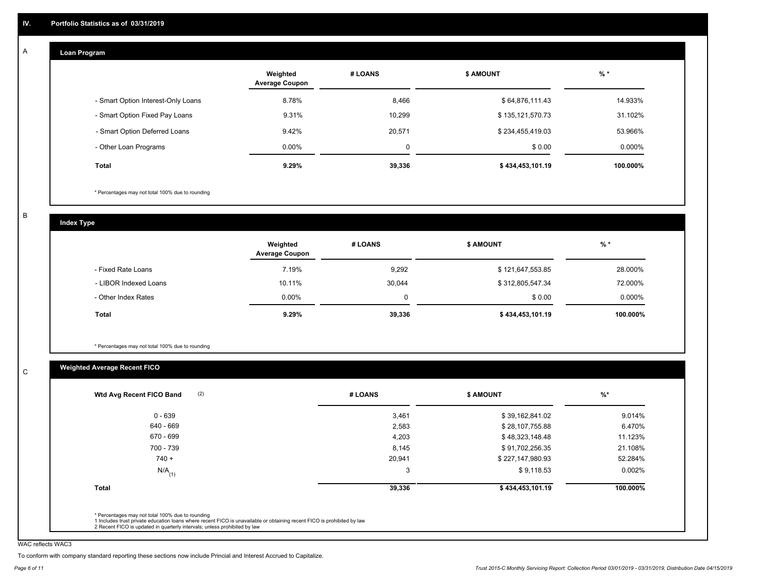#### **Loan Program**  A

|                                    | Weighted<br><b>Average Coupon</b> | # LOANS     | <b>\$ AMOUNT</b> | $%$ *    |
|------------------------------------|-----------------------------------|-------------|------------------|----------|
| - Smart Option Interest-Only Loans | 8.78%                             | 8,466       | \$64,876,111.43  | 14.933%  |
| - Smart Option Fixed Pay Loans     | 9.31%                             | 10,299      | \$135,121,570.73 | 31.102%  |
| - Smart Option Deferred Loans      | 9.42%                             | 20,571      | \$234,455,419.03 | 53.966%  |
| - Other Loan Programs              | $0.00\%$                          | $\mathbf 0$ | \$0.00           | 0.000%   |
| <b>Total</b>                       | 9.29%                             | 39,336      | \$434,453,101.19 | 100.000% |

\* Percentages may not total 100% due to rounding

B

C

**Index Type**

|                       | Weighted<br><b>Average Coupon</b> | # LOANS | <b>\$ AMOUNT</b> | $%$ *    |
|-----------------------|-----------------------------------|---------|------------------|----------|
| - Fixed Rate Loans    | 7.19%                             | 9,292   | \$121,647,553.85 | 28.000%  |
| - LIBOR Indexed Loans | 10.11%                            | 30,044  | \$312,805,547.34 | 72.000%  |
| - Other Index Rates   | $0.00\%$                          |         | \$0.00           | 0.000%   |
| Total                 | 9.29%                             | 39,336  | \$434,453,101.19 | 100.000% |

\* Percentages may not total 100% due to rounding

# **Weighted Average Recent FICO**

| Wtd Avg Recent FICO Band | # LOANS | <b>\$ AMOUNT</b> | $%$ *    |
|--------------------------|---------|------------------|----------|
| $0 - 639$                | 3,461   | \$39,162,841.02  | 9.014%   |
| 640 - 669                | 2,583   | \$28,107,755.88  | 6.470%   |
| 670 - 699                | 4,203   | \$48,323,148.48  | 11.123%  |
| 700 - 739                | 8,145   | \$91,702,256.35  | 21.108%  |
| $740 +$                  | 20,941  | \$227,147,980.93 | 52.284%  |
| $N/A$ <sub>(1)</sub>     | 3       | \$9,118.53       | 0.002%   |
| Total                    | 39,336  | \$434,453,101.19 | 100.000% |

WAC reflects WAC3

To conform with company standard reporting these sections now include Princial and Interest Accrued to Capitalize.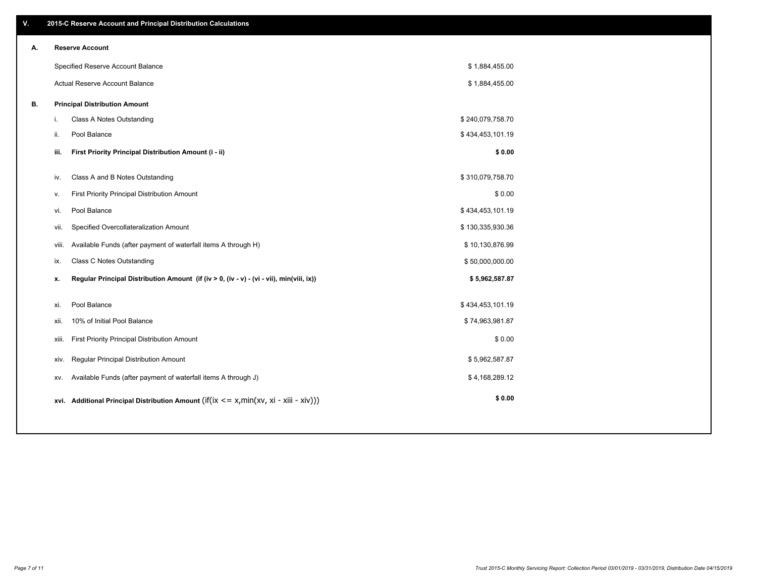| ۷. |       | 2015-C Reserve Account and Principal Distribution Calculations                             |                  |  |
|----|-------|--------------------------------------------------------------------------------------------|------------------|--|
| А. |       | <b>Reserve Account</b>                                                                     |                  |  |
|    |       | Specified Reserve Account Balance                                                          | \$1,884,455.00   |  |
|    |       | Actual Reserve Account Balance                                                             | \$1,884,455.00   |  |
| В. |       | <b>Principal Distribution Amount</b>                                                       |                  |  |
|    | j.    | <b>Class A Notes Outstanding</b>                                                           | \$240,079,758.70 |  |
|    | ii.   | Pool Balance                                                                               | \$434,453,101.19 |  |
|    | iii.  | First Priority Principal Distribution Amount (i - ii)                                      | \$0.00           |  |
|    |       |                                                                                            |                  |  |
|    | iv.   | Class A and B Notes Outstanding                                                            | \$310,079,758.70 |  |
|    | v.    | First Priority Principal Distribution Amount                                               | \$0.00           |  |
|    | vi.   | Pool Balance                                                                               | \$434,453,101.19 |  |
|    | vii.  | Specified Overcollateralization Amount                                                     | \$130,335,930.36 |  |
|    | viii. | Available Funds (after payment of waterfall items A through H)                             | \$10,130,876.99  |  |
|    | ix.   | <b>Class C Notes Outstanding</b>                                                           | \$50,000,000.00  |  |
|    | x.    | Regular Principal Distribution Amount (if (iv > 0, (iv - v) - (vi - vii), min(viii, ix))   | \$5,962,587.87   |  |
|    | xi.   | Pool Balance                                                                               | \$434,453,101.19 |  |
|    | xii.  | 10% of Initial Pool Balance                                                                | \$74,963,981.87  |  |
|    | xiii. | First Priority Principal Distribution Amount                                               | \$0.00           |  |
|    |       | Regular Principal Distribution Amount                                                      | \$5,962,587.87   |  |
|    | XIV.  |                                                                                            |                  |  |
|    | XV.   | Available Funds (after payment of waterfall items A through J)                             | \$4,168,289.12   |  |
|    |       | xvi. Additional Principal Distribution Amount (if(ix $\lt$ = x, min(xv, xi - xiii - xiv))) | \$0.00           |  |
|    |       |                                                                                            |                  |  |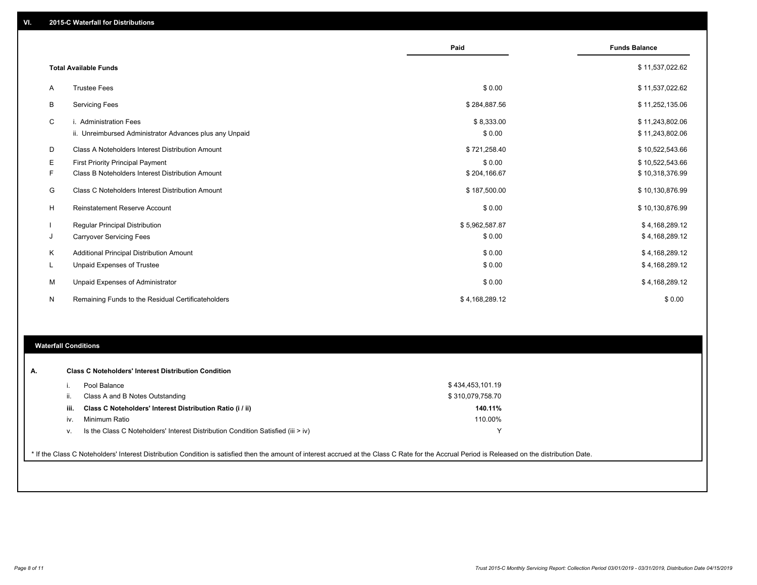|   |                                                         | Paid           | <b>Funds Balance</b> |
|---|---------------------------------------------------------|----------------|----------------------|
|   | <b>Total Available Funds</b>                            |                | \$11,537,022.62      |
| A | <b>Trustee Fees</b>                                     | \$0.00         | \$11,537,022.62      |
| В | <b>Servicing Fees</b>                                   | \$284,887.56   | \$11,252,135.06      |
| C | i. Administration Fees                                  | \$8,333.00     | \$11,243,802.06      |
|   | ii. Unreimbursed Administrator Advances plus any Unpaid | \$0.00         | \$11,243,802.06      |
| D | Class A Noteholders Interest Distribution Amount        | \$721,258.40   | \$10,522,543.66      |
| Е | <b>First Priority Principal Payment</b>                 | \$0.00         | \$10,522,543.66      |
| F | Class B Noteholders Interest Distribution Amount        | \$204,166.67   | \$10,318,376.99      |
| G | Class C Noteholders Interest Distribution Amount        | \$187,500.00   | \$10,130,876.99      |
| H | <b>Reinstatement Reserve Account</b>                    | \$0.00         | \$10,130,876.99      |
|   | Regular Principal Distribution                          | \$5,962,587.87 | \$4,168,289.12       |
| J | <b>Carryover Servicing Fees</b>                         | \$0.00         | \$4,168,289.12       |
| Κ | Additional Principal Distribution Amount                | \$0.00         | \$4,168,289.12       |
| L | Unpaid Expenses of Trustee                              | \$0.00         | \$4,168,289.12       |
| м | Unpaid Expenses of Administrator                        | \$0.00         | \$4,168,289.12       |
| N | Remaining Funds to the Residual Certificateholders      | \$4,168,289.12 | \$0.00               |
|   |                                                         |                |                      |

#### **Waterfall Conditions**

| А. |      | <b>Class C Noteholders' Interest Distribution Condition</b>                                                                                                                                     |                  |  |
|----|------|-------------------------------------------------------------------------------------------------------------------------------------------------------------------------------------------------|------------------|--|
|    |      |                                                                                                                                                                                                 |                  |  |
|    |      | Pool Balance                                                                                                                                                                                    | \$434,453,101.19 |  |
|    |      | Class A and B Notes Outstanding                                                                                                                                                                 | \$310,079,758.70 |  |
|    | iii. | Class C Noteholders' Interest Distribution Ratio (i / ii)                                                                                                                                       | 140.11%          |  |
|    | IV.  | Minimum Ratio                                                                                                                                                                                   | 110.00%          |  |
|    | v.   | Is the Class C Noteholders' Interest Distribution Condition Satisfied (iii > iv)                                                                                                                |                  |  |
|    |      |                                                                                                                                                                                                 |                  |  |
|    |      | * If the Class C Noteholders' Interest Distribution Condition is satisfied then the amount of interest accrued at the Class C Rate for the Accrual Period is Released on the distribution Date. |                  |  |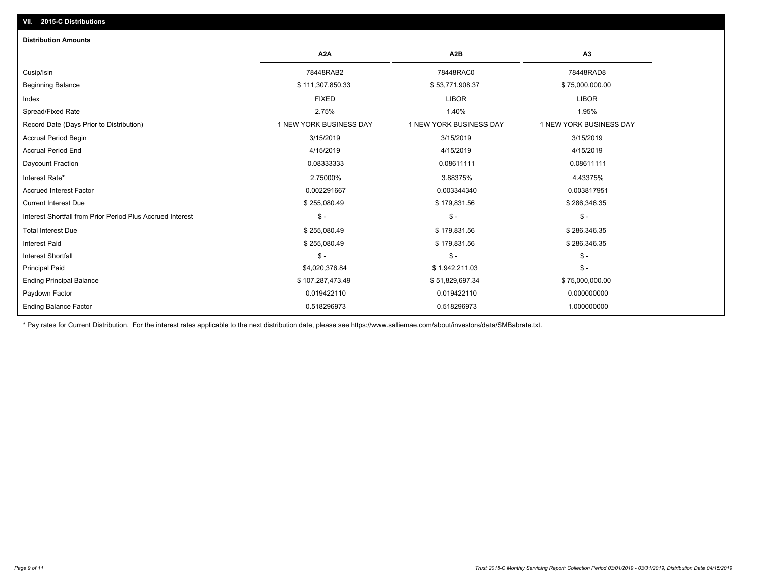# **VII. 2015-C Distributions**

| <b>Distribution Amounts</b>                                |                         |                         |                         |
|------------------------------------------------------------|-------------------------|-------------------------|-------------------------|
|                                                            | A <sub>2</sub> A        | A <sub>2</sub> B        | A3                      |
| Cusip/Isin                                                 | 78448RAB2               | 78448RAC0               | 78448RAD8               |
| <b>Beginning Balance</b>                                   | \$111,307,850.33        | \$53,771,908.37         | \$75,000,000.00         |
| Index                                                      | <b>FIXED</b>            | <b>LIBOR</b>            | <b>LIBOR</b>            |
| Spread/Fixed Rate                                          | 2.75%                   | 1.40%                   | 1.95%                   |
| Record Date (Days Prior to Distribution)                   | 1 NEW YORK BUSINESS DAY | 1 NEW YORK BUSINESS DAY | 1 NEW YORK BUSINESS DAY |
| <b>Accrual Period Begin</b>                                | 3/15/2019               | 3/15/2019               | 3/15/2019               |
| <b>Accrual Period End</b>                                  | 4/15/2019               | 4/15/2019               | 4/15/2019               |
| Daycount Fraction                                          | 0.08333333              | 0.08611111              | 0.08611111              |
| Interest Rate*                                             | 2.75000%                | 3.88375%                | 4.43375%                |
| <b>Accrued Interest Factor</b>                             | 0.002291667             | 0.003344340             | 0.003817951             |
| <b>Current Interest Due</b>                                | \$255,080.49            | \$179,831.56            | \$286,346.35            |
| Interest Shortfall from Prior Period Plus Accrued Interest | $\mathsf{\$}$ -         | $\frac{1}{2}$           | $\mathcal{S}$ -         |
| <b>Total Interest Due</b>                                  | \$255,080.49            | \$179,831.56            | \$286,346.35            |
| Interest Paid                                              | \$255,080.49            | \$179,831.56            | \$286,346.35            |
| <b>Interest Shortfall</b>                                  | $$ -$                   | $\mathsf{\$}$ -         | $\mathsf{\$}$ -         |
| <b>Principal Paid</b>                                      | \$4,020,376.84          | \$1,942,211.03          | $\mathsf{\$}$ -         |
| <b>Ending Principal Balance</b>                            | \$107,287,473.49        | \$51,829,697.34         | \$75,000,000.00         |
| Paydown Factor                                             | 0.019422110             | 0.019422110             | 0.000000000             |
| <b>Ending Balance Factor</b>                               | 0.518296973             | 0.518296973             | 1.000000000             |

\* Pay rates for Current Distribution. For the interest rates applicable to the next distribution date, please see https://www.salliemae.com/about/investors/data/SMBabrate.txt.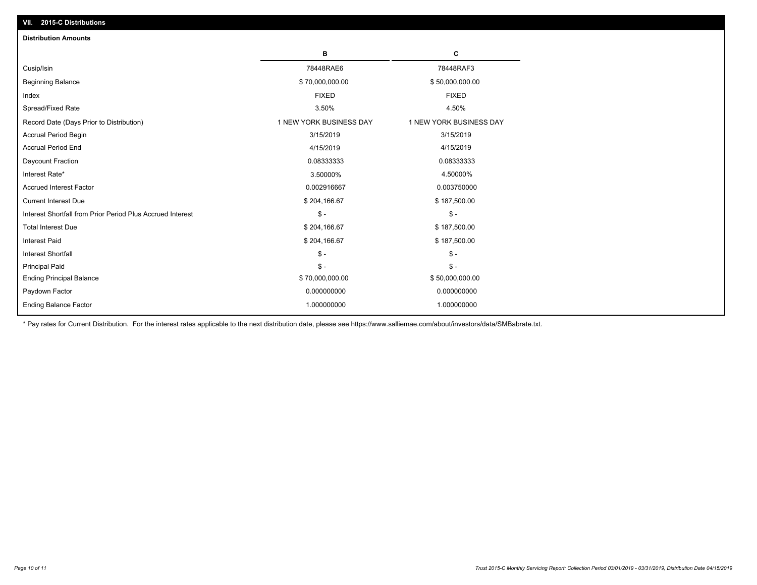| <b>Distribution Amounts</b>                                |                         |                         |
|------------------------------------------------------------|-------------------------|-------------------------|
|                                                            | в                       | C                       |
| Cusip/Isin                                                 | 78448RAE6               | 78448RAF3               |
| <b>Beginning Balance</b>                                   | \$70,000,000.00         | \$50,000,000.00         |
| Index                                                      | <b>FIXED</b>            | <b>FIXED</b>            |
| Spread/Fixed Rate                                          | 3.50%                   | 4.50%                   |
| Record Date (Days Prior to Distribution)                   | 1 NEW YORK BUSINESS DAY | 1 NEW YORK BUSINESS DAY |
| <b>Accrual Period Begin</b>                                | 3/15/2019               | 3/15/2019               |
| <b>Accrual Period End</b>                                  | 4/15/2019               | 4/15/2019               |
| Daycount Fraction                                          | 0.08333333              | 0.08333333              |
| Interest Rate*                                             | 3.50000%                | 4.50000%                |
| <b>Accrued Interest Factor</b>                             | 0.002916667             | 0.003750000             |
| <b>Current Interest Due</b>                                | \$204,166.67            | \$187,500.00            |
| Interest Shortfall from Prior Period Plus Accrued Interest | $\mathcal{S}$ -         | $\frac{1}{2}$           |
| <b>Total Interest Due</b>                                  | \$204,166.67            | \$187,500.00            |
| <b>Interest Paid</b>                                       | \$204,166.67            | \$187,500.00            |
| <b>Interest Shortfall</b>                                  | $\mathsf{\$}$ -         | $\mathsf{\$}$ -         |
| <b>Principal Paid</b>                                      | $\mathsf{\$}$ -         | $\mathsf{\$}$ -         |
| <b>Ending Principal Balance</b>                            | \$70,000,000.00         | \$50,000,000.00         |
| Paydown Factor                                             | 0.000000000             | 0.000000000             |
| <b>Ending Balance Factor</b>                               | 1.000000000             | 1.000000000             |

\* Pay rates for Current Distribution. For the interest rates applicable to the next distribution date, please see https://www.salliemae.com/about/investors/data/SMBabrate.txt.

**VII. 2015-C Distributions**